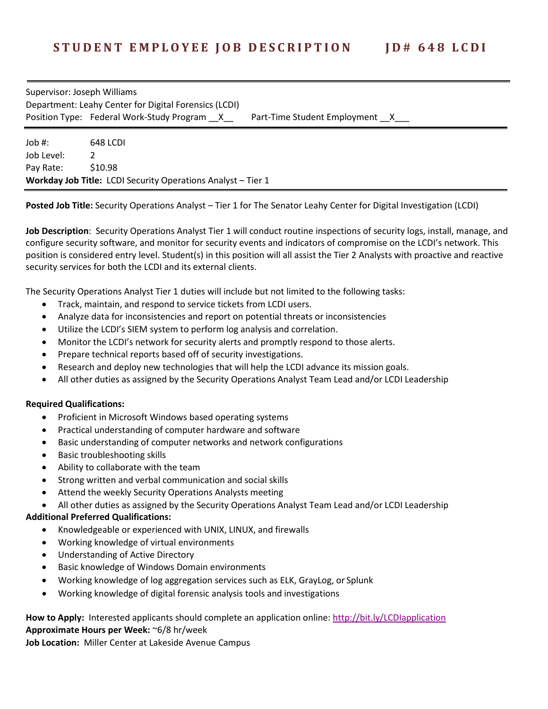## Supervisor: Joseph Williams Department: Leahy Center for Digital Forensics (LCDI) Position Type:Federal Work-Study Program \_\_X\_\_ Part-Time Student Employment \_\_X\_\_\_

Job #: 648 LCDI Job Level: 2 Pay Rate: \$10.98 **Workday Job Title:** LCDI Security Operations Analyst – Tier 1

**Posted Job Title:** Security Operations Analyst – Tier 1 for The Senator Leahy Center for Digital Investigation (LCDI)

**Job Description**: Security Operations Analyst Tier 1 will conduct routine inspections of security logs, install, manage, and configure security software, and monitor for security events and indicators of compromise on the LCDI's network. This position is considered entry level. Student(s) in this position will all assist the Tier 2 Analysts with proactive and reactive security services for both the LCDI and its external clients.

The Security Operations Analyst Tier 1 duties will include but not limited to the following tasks:

- Track, maintain, and respond to service tickets from LCDI users.
- Analyze data for inconsistencies and report on potential threats or inconsistencies
- Utilize the LCDI's SIEM system to perform log analysis and correlation.
- Monitor the LCDI's network for security alerts and promptly respond to those alerts.
- Prepare technical reports based off of security investigations.
- Research and deploy new technologies that will help the LCDI advance its mission goals.
- All other duties as assigned by the Security Operations Analyst Team Lead and/or LCDI Leadership

## **Required Qualifications:**

- Proficient in Microsoft Windows based operating systems
- Practical understanding of computer hardware and software
- Basic understanding of computer networks and network configurations
- Basic troubleshooting skills
- Ability to collaborate with the team
- Strong written and verbal communication and social skills
- Attend the weekly Security Operations Analysts meeting
- All other duties as assigned by the Security Operations Analyst Team Lead and/or LCDI Leadership

## **Additional Preferred Qualifications:**

- Knowledgeable or experienced with UNIX, LINUX, and firewalls
- Working knowledge of virtual environments
- Understanding of Active Directory
- Basic knowledge of Windows Domain environments
- Working knowledge of log aggregation services such as ELK, GrayLog, or Splunk
- Working knowledge of digital forensic analysis tools and investigations

## **How to Apply:** Interested applicants should complete an application online:<http://bit.ly/LCDIapplication> **Approximate Hours per Week:** ~6/8 hr/week

**Job Location:** Miller Center at Lakeside Avenue Campus